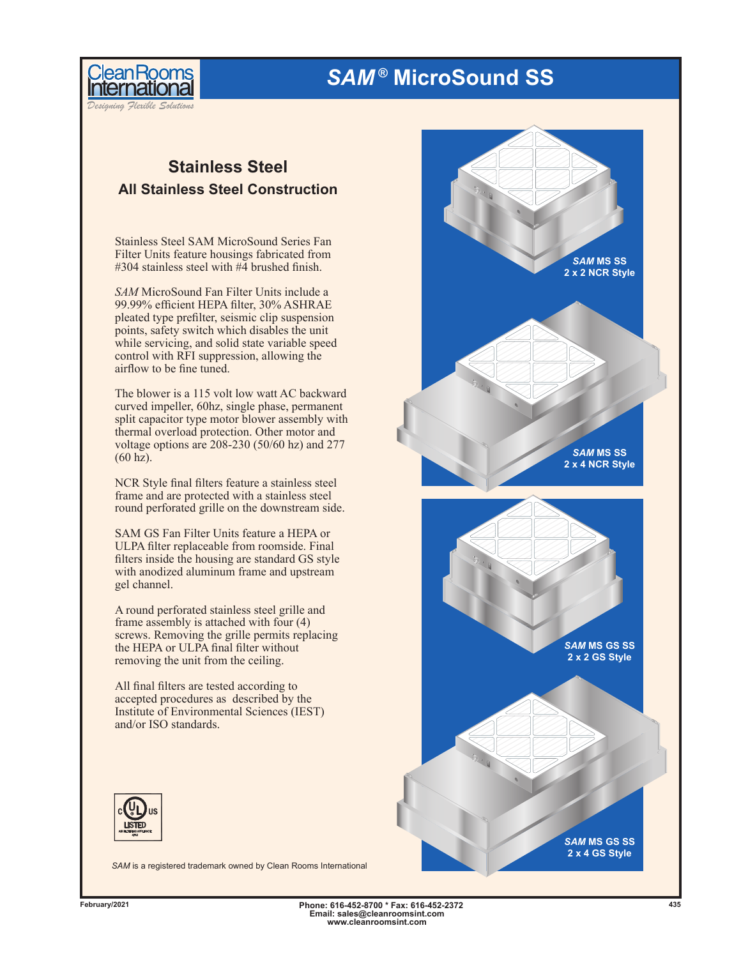# *SAM ®* **MicroSound SS**



*Designing Flexible Solutions*

### **Stainless Steel All Stainless Steel Construction**

Stainless Steel SAM MicroSound Series Fan Filter Units feature housings fabricated from #304 stainless steel with #4 brushed finish.

*SAM* MicroSound Fan Filter Units include a 99.99% efficient HEPA filter, 30% ASHRAE pleated type prefilter, seismic clip suspension points, safety switch which disables the unit while servicing, and solid state variable speed control with RFI suppression, allowing the airflow to be fine tuned.

The blower is a 115 volt low watt AC backward curved impeller, 60hz, single phase, permanent split capacitor type motor blower assembly with thermal overload protection. Other motor and voltage options are 208-230 (50/60 hz) and 277 (60 hz).

NCR Style final filters feature a stainless steel frame and are protected with a stainless steel round perforated grille on the downstream side.

SAM GS Fan Filter Units feature a HEPA or ULPA filter replaceable from roomside. Final filters inside the housing are standard GS style with anodized aluminum frame and upstream gel channel.

A round perforated stainless steel grille and frame assembly is attached with four (4) screws. Removing the grille permits replacing the HEPA or ULPA final filter without removing the unit from the ceiling.

All final filters are tested according to accepted procedures as described by the Institute of Environmental Sciences (IEST) and/or ISO standards.



*SAM* is a registered trademark owned by Clean Rooms International



**Phone: 616-452-8700 \* Fax: 616-452-2372 February/2021 435 Email: sales@cleanroomsint.com www.cleanroomsint.com**